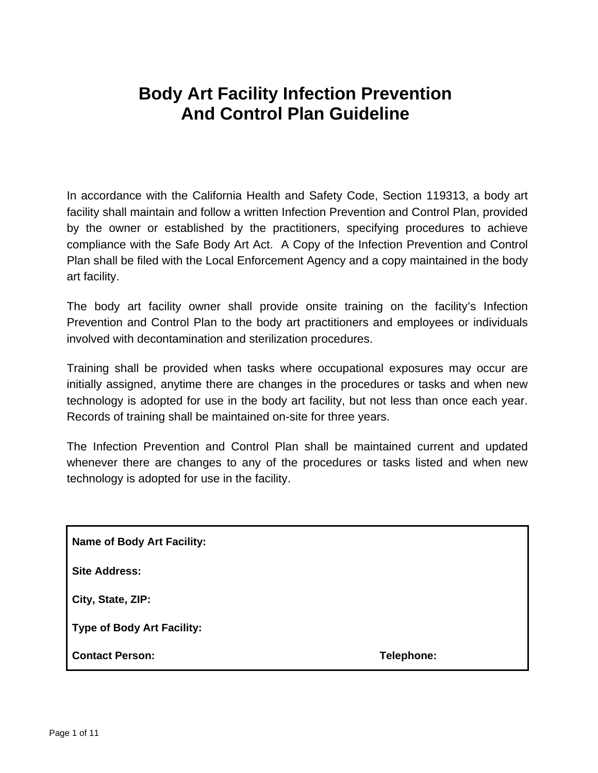In accordance with the California Health and Safety Code, Section 119313, a body art facility shall maintain and follow a written Infection Prevention and Control Plan, provided by the owner or established by the practitioners, specifying procedures to achieve compliance with the Safe Body Art Act. A Copy of the Infection Prevention and Control Plan shall be filed with the Local Enforcement Agency and a copy maintained in the body art facility.

The body art facility owner shall provide onsite training on the facility's Infection Prevention and Control Plan to the body art practitioners and employees or individuals involved with decontamination and sterilization procedures.

Training shall be provided when tasks where occupational exposures may occur are initially assigned, anytime there are changes in the procedures or tasks and when new technology is adopted for use in the body art facility, but not less than once each year. Records of training shall be maintained on-site for three years.

The Infection Prevention and Control Plan shall be maintained current and updated whenever there are changes to any of the procedures or tasks listed and when new technology is adopted for use in the facility.

**Name of Body Art Facility:** 

**Site Address:** 

**City, State, ZIP:** 

**Type of Body Art Facility:** 

**Contact Person: Telephone:**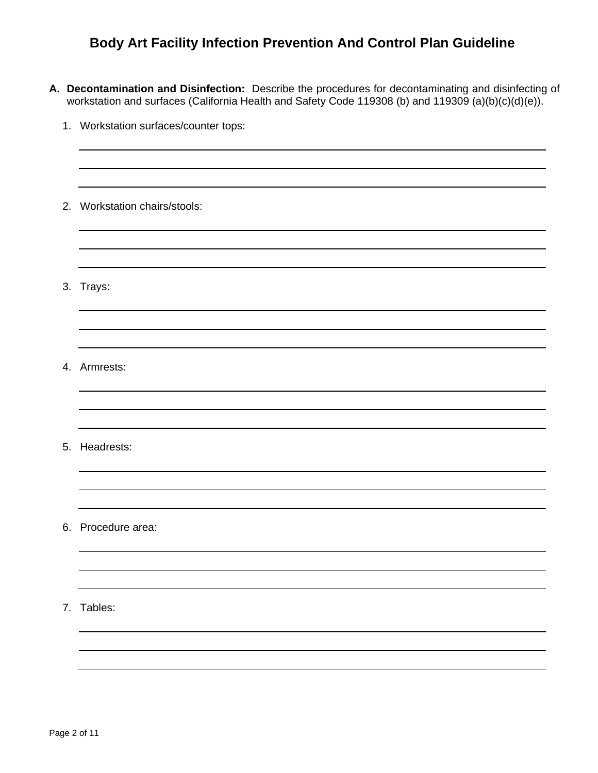- **A. Decontamination and Disinfection:** Describe the procedures for decontaminating and disinfecting of workstation and surfaces (California Health and Safety Code 119308 (b) and 119309 (a)(b)(c)(d)(e)).
	- 1. Workstation surfaces/counter tops: 2. Workstation chairs/stools: 3. Trays: 4. Armrests: 5. Headrests: 6. Procedure area: 7. Tables: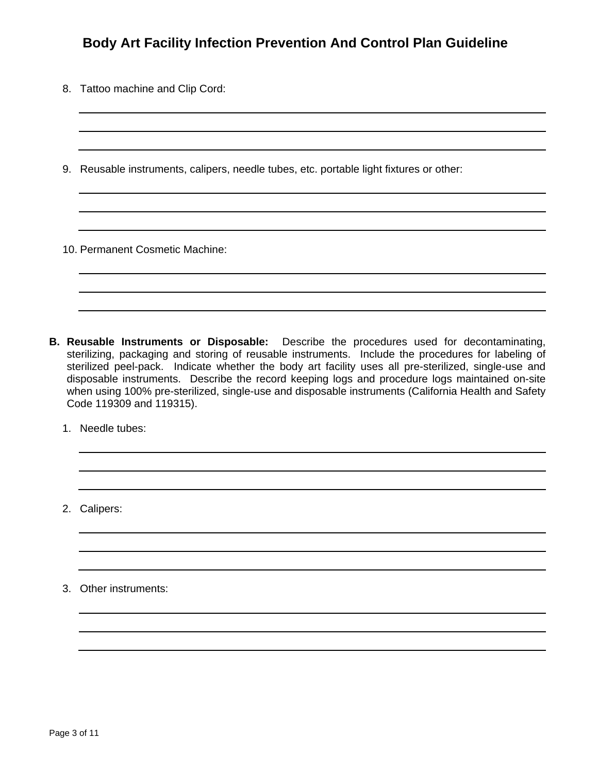- 8. Tattoo machine and Clip Cord:
- 9. Reusable instruments, calipers, needle tubes, etc. portable light fixtures or other:

10. Permanent Cosmetic Machine:

- **B. Reusable Instruments or Disposable:** Describe the procedures used for decontaminating, sterilizing, packaging and storing of reusable instruments. Include the procedures for labeling of sterilized peel-pack. Indicate whether the body art facility uses all pre-sterilized, single-use and disposable instruments. Describe the record keeping logs and procedure logs maintained on-site when using 100% pre-sterilized, single-use and disposable instruments (California Health and Safety Code 119309 and 119315).
	- 1. Needle tubes:

2. Calipers:

3. Other instruments: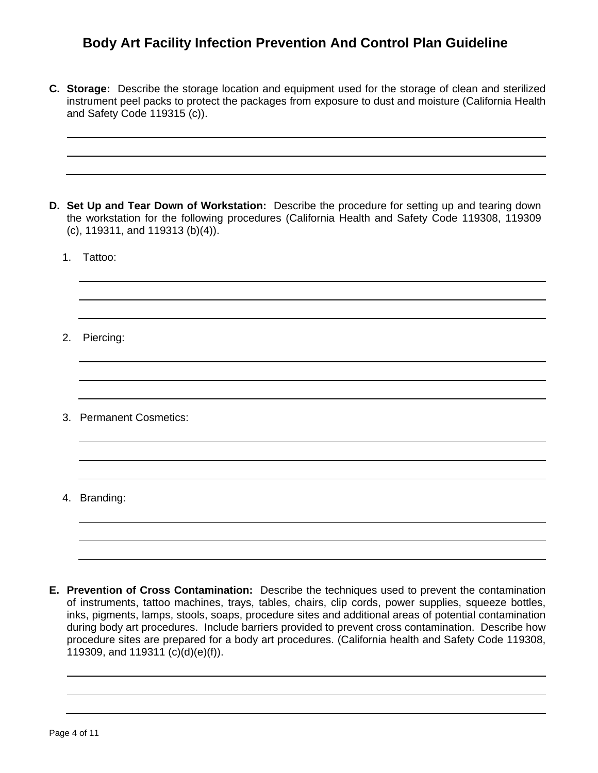**C. Storage:** Describe the storage location and equipment used for the storage of clean and sterilized instrument peel packs to protect the packages from exposure to dust and moisture (California Health and Safety Code 119315 (c)).

- **D. Set Up and Tear Down of Workstation:** Describe the procedure for setting up and tearing down the workstation for the following procedures (California Health and Safety Code 119308, 119309 (c), 119311, and 119313 (b)(4)).
	- 1. Tattoo:

2. Piercing:

3. Permanent Cosmetics:

4. Branding:

**E. Prevention of Cross Contamination:** Describe the techniques used to prevent the contamination of instruments, tattoo machines, trays, tables, chairs, clip cords, power supplies, squeeze bottles, inks, pigments, lamps, stools, soaps, procedure sites and additional areas of potential contamination during body art procedures. Include barriers provided to prevent cross contamination. Describe how procedure sites are prepared for a body art procedures. (California health and Safety Code 119308, 119309, and 119311 (c)(d)(e)(f)).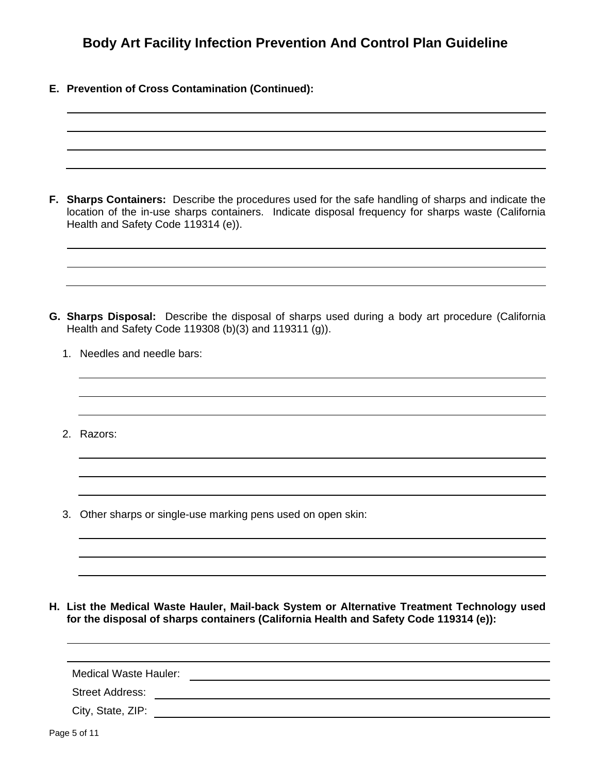**E. Prevention of Cross Contamination (Continued):**

**F. Sharps Containers:** Describe the procedures used for the safe handling of sharps and indicate the location of the in-use sharps containers. Indicate disposal frequency for sharps waste (California Health and Safety Code 119314 (e)).

- **G. Sharps Disposal:** Describe the disposal of sharps used during a body art procedure (California Health and Safety Code 119308 (b)(3) and 119311 (g)).
	- 1. Needles and needle bars:
	- 2. Razors:
	- 3. Other sharps or single-use marking pens used on open skin:

**H. List the Medical Waste Hauler, Mail-back System or Alternative Treatment Technology used for the disposal of sharps containers (California Health and Safety Code 119314 (e)):** 

| Medical Waste Hauler:  |  |  |
|------------------------|--|--|
| <b>Street Address:</b> |  |  |
| City, State, ZIP:      |  |  |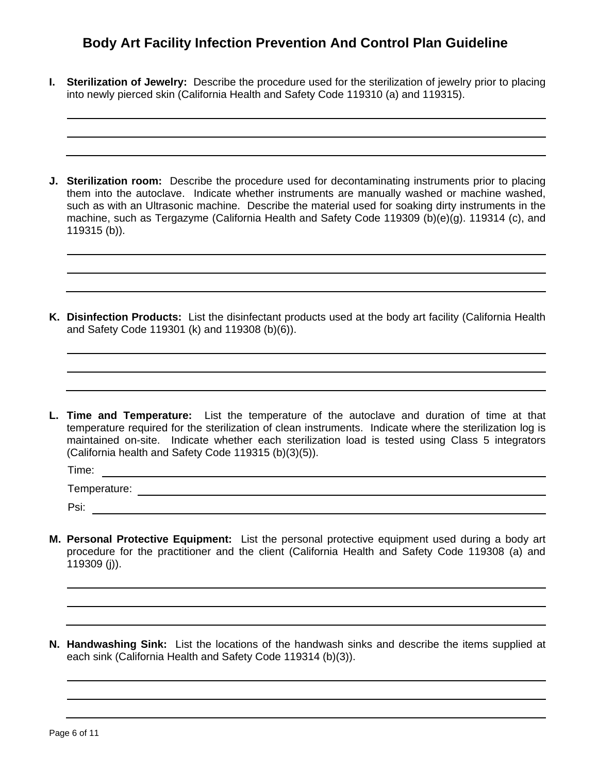- **I. Sterilization of Jewelry:** Describe the procedure used for the sterilization of jewelry prior to placing into newly pierced skin (California Health and Safety Code 119310 (a) and 119315).
- **J. Sterilization room:** Describe the procedure used for decontaminating instruments prior to placing them into the autoclave. Indicate whether instruments are manually washed or machine washed, such as with an Ultrasonic machine. Describe the material used for soaking dirty instruments in the machine, such as Tergazyme (California Health and Safety Code 119309 (b)(e)(g). 119314 (c), and 119315 (b)).
- **K. Disinfection Products:** List the disinfectant products used at the body art facility (California Health and Safety Code 119301 (k) and 119308 (b)(6)).
- **L. Time and Temperature:** List the temperature of the autoclave and duration of time at that temperature required for the sterilization of clean instruments. Indicate where the sterilization log is maintained on-site. Indicate whether each sterilization load is tested using Class 5 integrators (California health and Safety Code 119315 (b)(3)(5)).

Time: Temperature: Psi:

- **M. Personal Protective Equipment:** List the personal protective equipment used during a body art procedure for the practitioner and the client (California Health and Safety Code 119308 (a) and 119309 (j)).
- **N. Handwashing Sink:** List the locations of the handwash sinks and describe the items supplied at each sink (California Health and Safety Code 119314 (b)(3)).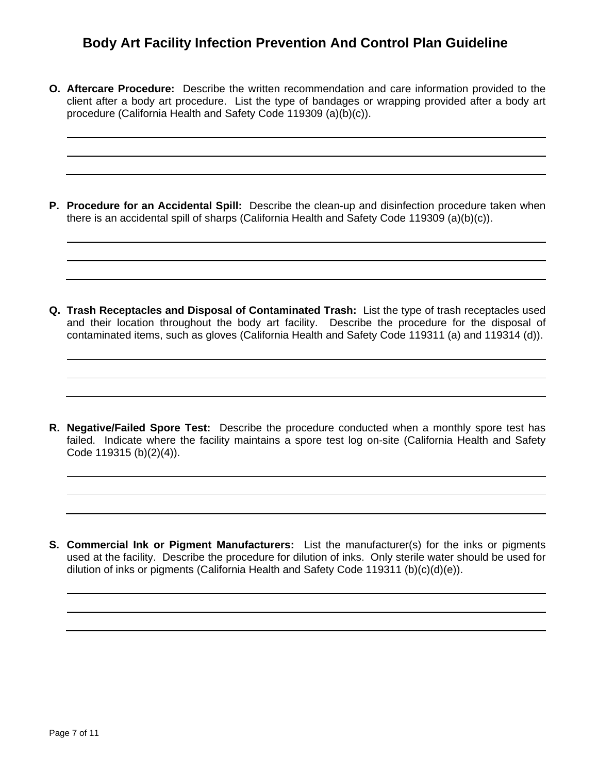**O. Aftercare Procedure:** Describe the written recommendation and care information provided to the client after a body art procedure. List the type of bandages or wrapping provided after a body art procedure (California Health and Safety Code 119309 (a)(b)(c)).

**P. Procedure for an Accidental Spill:** Describe the clean-up and disinfection procedure taken when there is an accidental spill of sharps (California Health and Safety Code 119309 (a)(b)(c)).

**Q. Trash Receptacles and Disposal of Contaminated Trash:** List the type of trash receptacles used and their location throughout the body art facility. Describe the procedure for the disposal of contaminated items, such as gloves (California Health and Safety Code 119311 (a) and 119314 (d)).

**R. Negative/Failed Spore Test:** Describe the procedure conducted when a monthly spore test has failed. Indicate where the facility maintains a spore test log on-site (California Health and Safety Code 119315 (b)(2)(4)).

**S. Commercial Ink or Pigment Manufacturers:** List the manufacturer(s) for the inks or pigments used at the facility. Describe the procedure for dilution of inks. Only sterile water should be used for dilution of inks or pigments (California Health and Safety Code 119311 (b)(c)(d)(e)).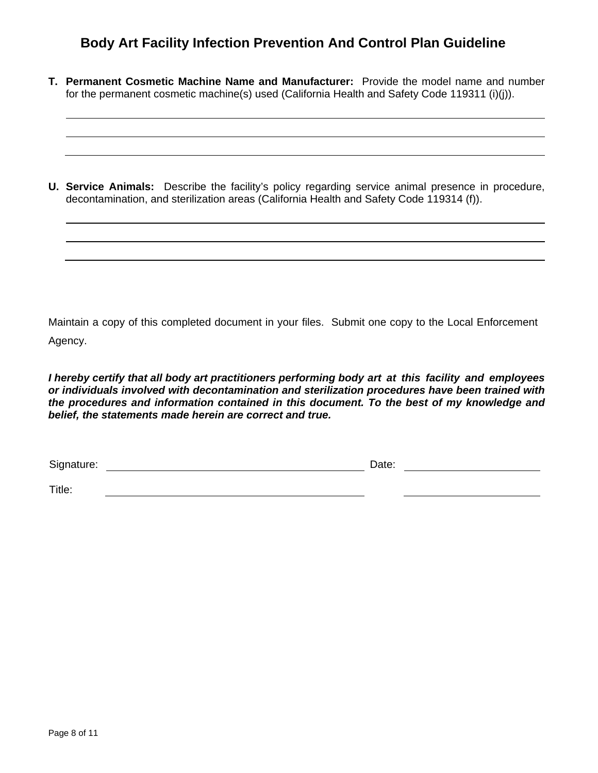**T. Permanent Cosmetic Machine Name and Manufacturer:** Provide the model name and number for the permanent cosmetic machine(s) used (California Health and Safety Code 119311 (i)(j)).

**U. Service Animals:** Describe the facility's policy regarding service animal presence in procedure, decontamination, and sterilization areas (California Health and Safety Code 119314 (f)).

Maintain a copy of this completed document in your files. Submit one copy to the Local Enforcement Agency.

*I hereby certify that all body art practitioners performing body art at this facility and employees or individuals involved with decontamination and sterilization procedures have been trained with the procedures and information contained in this document. To the best of my knowledge and belief, the statements made herein are correct and true.* 

Signature: **Date: Date: Date: Date: Date: Date: Date: Date: Date: Date: Date: Date: Date: Date: Date: Date: Date: Date: Date: Date: Date: Date: Date: Date: Date: Date: Da** 

Title: <u> 1980 - Johann Barbara, martin amerikan basar dan basa dan basa dan basa dalam basa dalam basa dalam basa dala</u>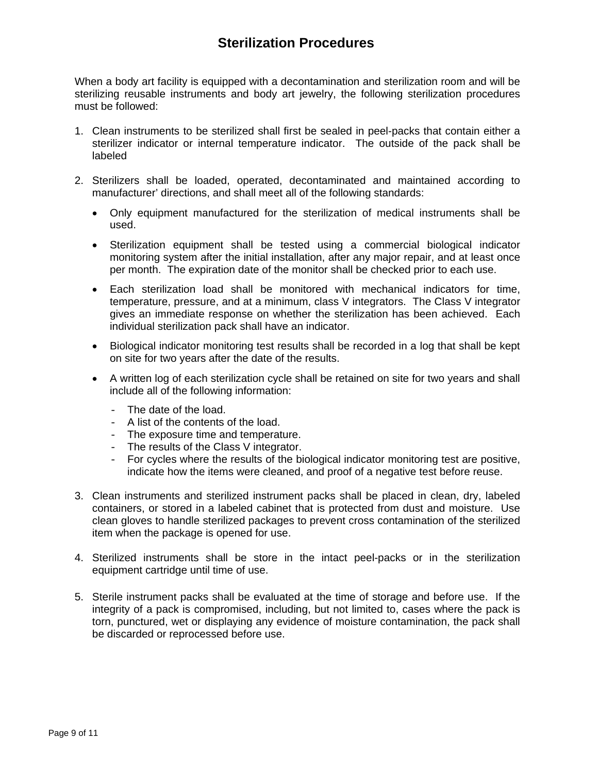## **Sterilization Procedures**

When a body art facility is equipped with a decontamination and sterilization room and will be sterilizing reusable instruments and body art jewelry, the following sterilization procedures must be followed:

- 1. Clean instruments to be sterilized shall first be sealed in peel-packs that contain either a sterilizer indicator or internal temperature indicator. The outside of the pack shall be labeled
- 2. Sterilizers shall be loaded, operated, decontaminated and maintained according to manufacturer' directions, and shall meet all of the following standards:
	- Only equipment manufactured for the sterilization of medical instruments shall be used.
	- Sterilization equipment shall be tested using a commercial biological indicator monitoring system after the initial installation, after any major repair, and at least once per month. The expiration date of the monitor shall be checked prior to each use.
	- Each sterilization load shall be monitored with mechanical indicators for time, temperature, pressure, and at a minimum, class V integrators. The Class V integrator gives an immediate response on whether the sterilization has been achieved. Each individual sterilization pack shall have an indicator.
	- Biological indicator monitoring test results shall be recorded in a log that shall be kept on site for two years after the date of the results.
	- A written log of each sterilization cycle shall be retained on site for two years and shall include all of the following information:
		- The date of the load.
		- A list of the contents of the load.
		- The exposure time and temperature.
		- The results of the Class V integrator.
		- For cycles where the results of the biological indicator monitoring test are positive, indicate how the items were cleaned, and proof of a negative test before reuse.
- 3. Clean instruments and sterilized instrument packs shall be placed in clean, dry, labeled containers, or stored in a labeled cabinet that is protected from dust and moisture. Use clean gloves to handle sterilized packages to prevent cross contamination of the sterilized item when the package is opened for use.
- 4. Sterilized instruments shall be store in the intact peel-packs or in the sterilization equipment cartridge until time of use.
- 5. Sterile instrument packs shall be evaluated at the time of storage and before use. If the integrity of a pack is compromised, including, but not limited to, cases where the pack is torn, punctured, wet or displaying any evidence of moisture contamination, the pack shall be discarded or reprocessed before use.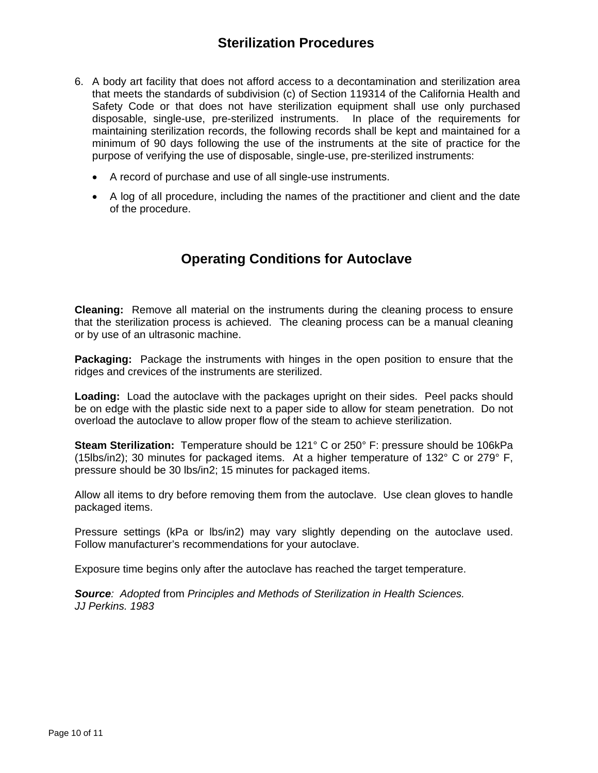- 6. A body art facility that does not afford access to a decontamination and sterilization area that meets the standards of subdivision (c) of Section 119314 of the California Health and Safety Code or that does not have sterilization equipment shall use only purchased disposable, single-use, pre-sterilized instruments. In place of the requirements for maintaining sterilization records, the following records shall be kept and maintained for a minimum of 90 days following the use of the instruments at the site of practice for the purpose of verifying the use of disposable, single-use, pre-sterilized instruments:
	- A record of purchase and use of all single-use instruments.
	- A log of all procedure, including the names of the practitioner and client and the date of the procedure.

## **Operating Conditions for Autoclave**

**Cleaning:** Remove all material on the instruments during the cleaning process to ensure that the sterilization process is achieved. The cleaning process can be a manual cleaning or by use of an ultrasonic machine.

**Packaging:** Package the instruments with hinges in the open position to ensure that the ridges and crevices of the instruments are sterilized.

**Loading:** Load the autoclave with the packages upright on their sides. Peel packs should be on edge with the plastic side next to a paper side to allow for steam penetration. Do not overload the autoclave to allow proper flow of the steam to achieve sterilization.

**Steam Sterilization:** Temperature should be 121° C or 250° F: pressure should be 106kPa (15lbs/in2); 30 minutes for packaged items. At a higher temperature of 132° C or 279° F, pressure should be 30 lbs/in2; 15 minutes for packaged items.

Allow all items to dry before removing them from the autoclave. Use clean gloves to handle packaged items.

Pressure settings (kPa or lbs/in2) may vary slightly depending on the autoclave used. Follow manufacturer's recommendations for your autoclave.

Exposure time begins only after the autoclave has reached the target temperature.

*Source: Adopted* from *Principles and Methods of Sterilization in Health Sciences. JJ Perkins. 1983*